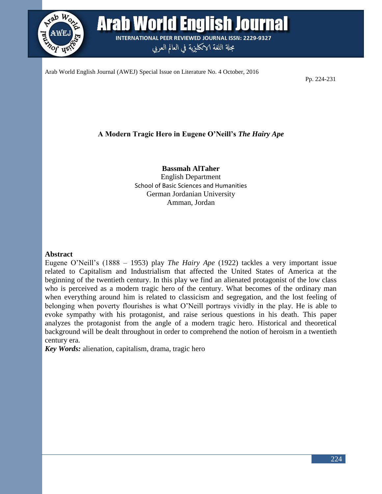

**Arab World English Journal INTERNATIONAL PEER REVIEWED JOURNAL ISSN: 2229-9327** 

مجلة اللغة الانكليزية في العالم العربي

Arab World English Journal (AWEJ) Special Issue on Literature No. 4 October, 2016

Pp. 224-231

# **A Modern Tragic Hero in Eugene O'Neill's** *The Hairy Ape*

**Bassmah AlTaher** English Department School of Basic Sciences and Humanities German Jordanian University Amman, Jordan

#### **Abstract**

Eugene O'Neill's (1888 – 1953) play *The Hairy Ape* (1922) tackles a very important issue related to Capitalism and Industrialism that affected the United States of America at the beginning of the twentieth century. In this play we find an alienated protagonist of the low class who is perceived as a modern tragic hero of the century. What becomes of the ordinary man when everything around him is related to classicism and segregation, and the lost feeling of belonging when poverty flourishes is what O'Neill portrays vividly in the play. He is able to evoke sympathy with his protagonist, and raise serious questions in his death. This paper analyzes the protagonist from the angle of a modern tragic hero. Historical and theoretical background will be dealt throughout in order to comprehend the notion of heroism in a twentieth century era.

*Key Words:* alienation, capitalism, drama, tragic hero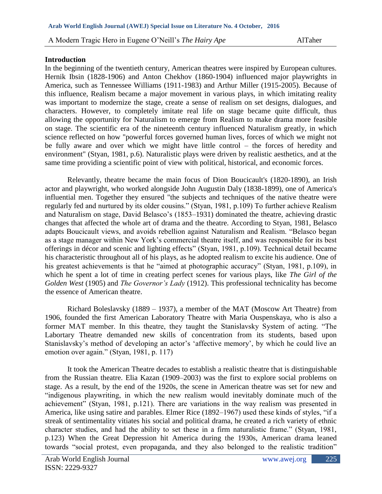### **Introduction**

In the beginning of the twentieth century, American theatres were inspired by European cultures. Hernik Ibsin (1828-1906) and Anton Chekhov (1860-1904) influenced major playwrights in America, such as Tennessee Williams (1911-1983) and Arthur Miller (1915-2005). Because of this influence, Realism became a major movement in various plays, in which imitating reality was important to modernize the stage, create a sense of realism on set designs, dialogues, and characters. However, to completely imitate real life on stage became quite difficult, thus allowing the opportunity for Naturalism to emerge from Realism to make drama more feasible on stage. The scientific era of the nineteenth century influenced Naturalism greatly, in which science reflected on how "powerful forces governed human lives, forces of which we might not be fully aware and over which we might have little control – the forces of heredity and environment" (Styan, 1981, p.6). Naturalistic plays were driven by realistic aesthetics, and at the same time providing a scientific point of view with political, historical, and economic forces.

Relevantly, theatre became the main focus of Dion Boucicault's (1820-1890), an Irish actor and playwright, who worked alongside John Augustin Daly (1838-1899), one of America's influential men. Together they ensured "the subjects and techniques of the native theatre were regularly fed and nurtured by its older cousins." (Styan, 1981, p.109) To further achieve Realism and Naturalism on stage, David Belasco's (1853–1931) dominated the theatre, achieving drastic changes that affected the whole art of drama and the theatre. According to Styan, 1981, Belasco adapts Boucicault views, and avoids rebellion against Naturalism and Realism. "Belasco began as a stage manager within New York's commercial theatre itself, and was responsible for its best offerings in décor and scenic and lighting effects" (Styan, 1981, p.109). Technical detail became his characteristic throughout all of his plays, as he adopted realism to excite his audience. One of his greatest achievements is that he "aimed at photographic accuracy" (Styan, 1981, p.109), in which he spent a lot of time in creating perfect scenes for various plays, like *The Girl of the Golden West* (1905) and *The Governor's Lady* (1912). This professional technicality has become the essence of American theatre.

Richard Boleslavsky (1889 – 1937), a member of the MAT (Moscow Art Theatre) from 1906, founded the first American Laboratory Theatre with Maria Ouspenskaya, who is also a former MAT member. In this theatre, they taught the Stanislavsky System of acting. "The Labortary Theatre demanded new skills of concentration from its students, based upon Stanislavsky's method of developing an actor's 'affective memory', by which he could live an emotion over again." (Styan, 1981, p. 117)

It took the American Theatre decades to establish a realistic theatre that is distinguishable from the Russian theatre. Elia Kazan (1909–2003) was the first to explore social problems on stage. As a result, by the end of the 1920s, the scene in American theatre was set for new and "indigenous playwriting, in which the new realism would inevitably dominate much of the achievement" (Styan, 1981, p.121). There are variations in the way realism was presented in America, like using satire and parables. Elmer Rice (1892–1967) used these kinds of styles, "if a streak of sentimentality vitiates his social and political drama, he created a rich variety of ethnic character studies, and had the ability to set these in a firm naturalistic frame." (Styan, 1981, p.123) When the Great Depression hit America during the 1930s, American drama leaned towards "social protest, even propaganda, and they also belonged to the realistic tradition"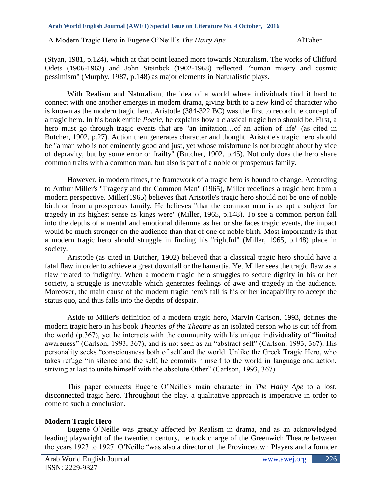(Styan, 1981, p.124), which at that point leaned more towards Naturalism. The works of Clifford Odets (1906-1963) and John Steinbck (1902-1968) reflected "human misery and cosmic pessimism" (Murphy, 1987, p.148) as major elements in Naturalistic plays.

With Realism and Naturalism, the idea of a world where individuals find it hard to connect with one another emerges in modern drama, giving birth to a new kind of character who is known as the modern tragic hero. Aristotle (384-322 BC) was the first to record the concept of a tragic hero. In his book entitle *Poetic*, he explains how a classical tragic hero should be. First, a hero must go through tragic events that are "an imitation...of an action of life" (as cited in Butcher, 1902, p.27). Action then generates character and thought. Aristotle's tragic hero should be "a man who is not eminently good and just, yet whose misfortune is not brought about by vice of depravity, but by some error or frailty" (Butcher, 1902, p.45). Not only does the hero share common traits with a common man, but also is part of a noble or prosperous family.

However, in modern times, the framework of a tragic hero is bound to change. According to Arthur Miller's "Tragedy and the Common Man" (1965), Miller redefines a tragic hero from a modern perspective. Miller(1965) believes that Aristotle's tragic hero should not be one of noble birth or from a prosperous family. He believes "that the common man is as apt a subject for tragedy in its highest sense as kings were" (Miller, 1965, p.148). To see a common person fall into the depths of a mental and emotional dilemma as her or she faces tragic events, the impact would be much stronger on the audience than that of one of noble birth. Most importantly is that a modern tragic hero should struggle in finding his "rightful" (Miller, 1965, p.148) place in society.

Aristotle (as cited in Butcher, 1902) believed that a classical tragic hero should have a fatal flaw in order to achieve a great downfall or the hamartia. Yet Miller sees the tragic flaw as a flaw related to indignity. When a modern tragic hero struggles to secure dignity in his or her society, a struggle is inevitable which generates feelings of awe and tragedy in the audience. Moreover, the main cause of the modern tragic hero's fall is his or her incapability to accept the status quo, and thus falls into the depths of despair.

Aside to Miller's definition of a modern tragic hero, Marvin Carlson, 1993, defines the modern tragic hero in his book *Theories of the Theatre* as an isolated person who is cut off from the world (p.367), yet he interacts with the community with his unique individuality of "limited awareness" (Carlson, 1993, 367), and is not seen as an "abstract self" (Carlson, 1993, 367). His personality seeks "consciousness both of self and the world. Unlike the Greek Tragic Hero, who takes refuge "in silence and the self, he commits himself to the world in language and action, striving at last to unite himself with the absolute Other" (Carlson, 1993, 367).

This paper connects Eugene O'Neille's main character in *The Hairy Ape* to a lost, disconnected tragic hero. Throughout the play, a qualitative approach is imperative in order to come to such a conclusion.

# **Modern Tragic Hero**

Eugene O'Neille was greatly affected by Realism in drama, and as an acknowledged leading playwright of the twentieth century, he took charge of the Greenwich Theatre between the years 1923 to 1927. O'Neille "was also a director of the Provincetown Players and a founder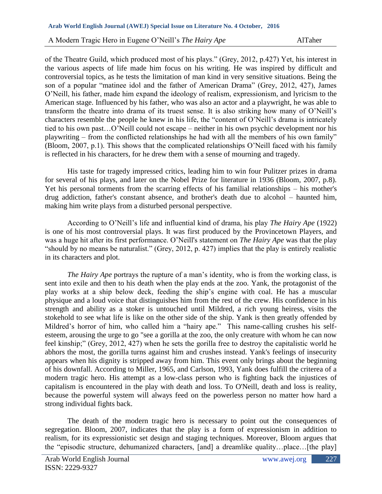of the Theatre Guild, which produced most of his plays." (Grey, 2012, p.427) Yet, his interest in the various aspects of life made him focus on his writing. He was inspired by difficult and controversial topics, as he tests the limitation of man kind in very sensitive situations. Being the son of a popular "matinee idol and the father of American Drama" (Grey, 2012, 427), James O'Neill, his father, made him expand the ideology of realism, expressionism, and lyricism to the American stage. Influenced by his father, who was also an actor and a playwright, he was able to transform the theatre into drama of its truest sense. It is also striking how many of O'Neill's characters resemble the people he knew in his life, the "content of O'Neill's drama is intricately tied to his own past…O'Neill could not escape – neither in his own psychic development nor his playwriting – from the conflicted relationships he had with all the members of his own family" (Bloom, 2007, p.1). This shows that the complicated relationships O'Neill faced with his family is reflected in his characters, for he drew them with a sense of mourning and tragedy.

His taste for tragedy impressed critics, leading him to win four Pulitzer prizes in drama for several of his plays, and later on the Nobel Prize for literature in 1936 (Bloom, 2007, p.8). Yet his personal torments from the scarring effects of his familial relationships – his mother's drug addiction, father's constant absence, and brother's death due to alcohol – haunted him, making him write plays from a disturbed personal perspective.

According to O'Neill's life and influential kind of drama, his play *The Hairy Ape* (1922) is one of his most controversial plays. It was first produced by the Provincetown Players, and was a huge hit after its first performance. O'Neill's statement on *The Hairy Ape* was that the play "should by no means be naturalist." (Grey, 2012, p. 427) implies that the play is entirely realistic in its characters and plot.

*The Hairy Ape* portrays the rupture of a man's identity, who is from the working class, is sent into exile and then to his death when the play ends at the zoo. Yank, the protagonist of the play works at a ship below deck, feeding the ship's engine with coal. He has a muscular physique and a loud voice that distinguishes him from the rest of the crew. His confidence in his strength and ability as a stoker is untouched until Mildred, a rich young heiress, visits the stokehold to see what life is like on the other side of the ship. Yank is then greatly offended by Mildred's horror of him, who called him a "hairy ape." This name-calling crushes his selfesteem, arousing the urge to go "see a gorilla at the zoo, the only creature with whom he can now feel kinship;" (Grey, 2012, 427) when he sets the gorilla free to destroy the capitalistic world he abhors the most, the gorilla turns against him and crushes instead. Yank's feelings of insecurity appears when his dignity is stripped away from him. This event only brings about the beginning of his downfall. According to Miller, 1965, and Carlson, 1993, Yank does fulfill the criterea of a modern tragic hero. His attempt as a low-class person who is fighting back the injustices of capitalism is encountered in the play with death and loss. To O'Neill, death and loss is reality, because the powerful system will always feed on the powerless person no matter how hard a strong individual fights back.

The death of the modern tragic hero is necessary to point out the consequences of segregation. Bloom, 2007, indicates that the play is a form of expressionism in addition to realism, for its expressionistic set design and staging techniques. Moreover, Bloom argues that the "episodic structure, dehumanized characters, [and] a dreamlike quality…place…[the play]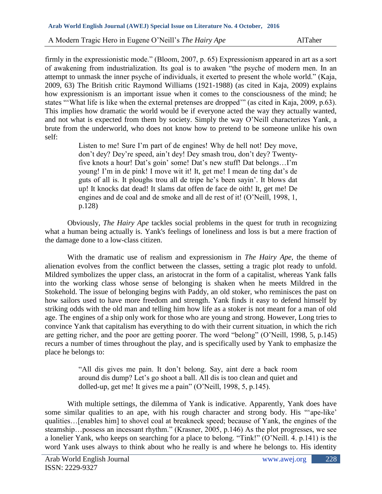firmly in the expressionistic mode." (Bloom, 2007, p. 65) Expressionism appeared in art as a sort of awakening from industrialization. Its goal is to awaken "the psyche of modern men. In an attempt to unmask the inner psyche of individuals, it exerted to present the whole world." (Kaja, 2009, 63) The British critic Raymond Williams (1921-1988) (as cited in Kaja, 2009) explains how expressionism is an important issue when it comes to the consciousness of the mind; he states "'What life is like when the external pretenses are dropped'" (as cited in Kaja, 2009, p.63). This implies how dramatic the world would be if everyone acted the way they actually wanted, and not what is expected from them by society. Simply the way O'Neill characterizes Yank, a brute from the underworld, who does not know how to pretend to be someone unlike his own self:

Listen to me! Sure I'm part of de engines! Why de hell not! Dey move, don't dey? Dey're speed, ain't dey! Dey smash trou, don't dey? Twentyfive knots a hour! Dat's goin' some! Dat's new stuff! Dat belongs…I'm young! I'm in de pink! I move wit it! It, get me! I mean de ting dat's de guts of all is. It ploughs trou all de tripe he's been sayin'. It blows dat up! It knocks dat dead! It slams dat offen de face de oith! It, get me! De engines and de coal and de smoke and all de rest of it! (O'Neill, 1998, 1, p.128)

Obviously, *The Hairy Ape* tackles social problems in the quest for truth in recognizing what a human being actually is. Yank's feelings of loneliness and loss is but a mere fraction of the damage done to a low-class citizen.

With the dramatic use of realism and expressionism in *The Hairy Ape*, the theme of alienation evolves from the conflict between the classes, setting a tragic plot ready to unfold. Mildred symbolizes the upper class, an aristocrat in the form of a capitalist, whereas Yank falls into the working class whose sense of belonging is shaken when he meets Mildred in the Stokehold. The issue of belonging begins with Paddy, an old stoker, who reminisces the past on how sailors used to have more freedom and strength. Yank finds it easy to defend himself by striking odds with the old man and telling him how life as a stoker is not meant for a man of old age. The engines of a ship only work for those who are young and strong. However, Long tries to convince Yank that capitalism has everything to do with their current situation, in which the rich are getting richer, and the poor are getting poorer. The word "belong" (O'Neill, 1998, 5, p.145) recurs a number of times throughout the play, and is specifically used by Yank to emphasize the place he belongs to:

> "All dis gives me pain. It don't belong. Say, aint dere a back room around dis dump? Let's go shoot a ball. All dis is too clean and quiet and dolled-up, get me! It gives me a pain" (O'Neill, 1998, 5, p.145).

With multiple settings, the dilemma of Yank is indicative. Apparently, Yank does have some similar qualities to an ape, with his rough character and strong body. His "'ape-like' qualities…[enables him] to shovel coal at breakneck speed; because of Yank, the engines of the steamship…possess an incessant rhythm." (Krasner, 2005, p.146) As the plot progresses, we see a lonelier Yank, who keeps on searching for a place to belong. "Tink!" (O'Neill. 4. p.141) is the word Yank uses always to think about who he really is and where he belongs to. His identity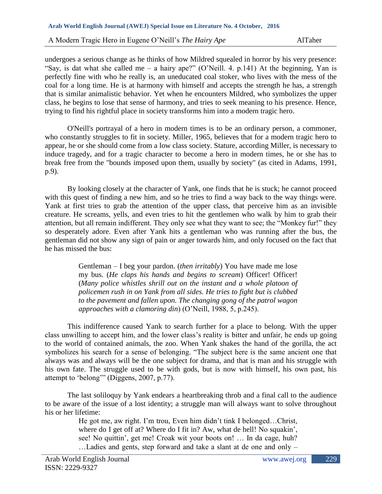undergoes a serious change as he thinks of how Mildred squealed in horror by his very presence: "Say, is dat what she called me – a hairy ape?" (O'Neill. 4. p.141) At the beginning, Yan is perfectly fine with who he really is, an uneducated coal stoker, who lives with the mess of the coal for a long time. He is at harmony with himself and accepts the strength he has, a strength that is similar animalistic behavior. Yet when he encounters Mildred, who symbolizes the upper class, he begins to lose that sense of harmony, and tries to seek meaning to his presence. Hence, trying to find his rightful place in society transforms him into a modern tragic hero.

O'Neill's portrayal of a hero in modern times is to be an ordinary person, a commoner, who constantly struggles to fit in society. Miller, 1965, believes that for a modern tragic hero to appear, he or she should come from a low class society. Stature, according Miller, is necessary to induce tragedy, and for a tragic character to become a hero in modern times, he or she has to break free from the "bounds imposed upon them, usually by society" (as cited in Adams, 1991, p.9).

By looking closely at the character of Yank, one finds that he is stuck; he cannot proceed with this quest of finding a new him, and so he tries to find a way back to the way things were. Yank at first tries to grab the attention of the upper class, that perceive him as an invisible creature. He screams, yells, and even tries to hit the gentlemen who walk by him to grab their attention, but all remain indifferent. They only see what they want to see; the "Monkey fur!" they so desperately adore. Even after Yank hits a gentleman who was running after the bus, the gentleman did not show any sign of pain or anger towards him, and only focused on the fact that he has missed the bus:

> Gentleman – I beg your pardon. (*then irritably*) You have made me lose my bus. (*He claps his hands and begins to scream*) Officer! Officer! (*Many police whistles shrill out on the instant and a whole platoon of policemen rush in on Yank from all sides. He tries to fight but is clubbed to the pavement and fallen upon. The changing gong of the patrol wagon approaches with a clamoring din*) (O'Neill, 1988, 5, p.245).

This indifference caused Yank to search further for a place to belong. With the upper class unwilling to accept him, and the lower class's reality is bitter and unfair, he ends up going to the world of contained animals, the zoo. When Yank shakes the hand of the gorilla, the act symbolizes his search for a sense of belonging. "The subject here is the same ancient one that always was and always will be the one subject for drama, and that is man and his struggle with his own fate. The struggle used to be with gods, but is now with himself, his own past, his attempt to 'belong'" (Diggens, 2007, p.77).

The last soliloquy by Yank endears a heartbreaking throb and a final call to the audience to be aware of the issue of a lost identity; a struggle man will always want to solve throughout his or her lifetime:

> He got me, aw right. I'm trou, Even him didn't tink I belonged…Christ, where do I get off at? Where do I fit in? Aw, what de hell! No squakin', see! No quittin', get me! Croak wit your boots on! … In da cage, huh? …Ladies and gents, step forward and take a slant at de one and only –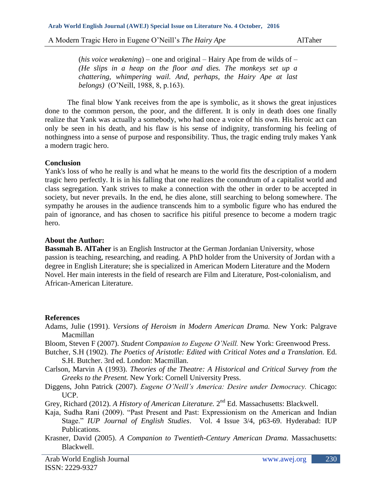(*his voice weakening*) – one and original – Hairy Ape from de wilds of – *(He slips in a heap on the floor and dies. The monkeys set up a chattering, whimpering wail. And, perhaps, the Hairy Ape at last belongs)* (O'Neill, 1988, 8, p.163).

The final blow Yank receives from the ape is symbolic, as it shows the great injustices done to the common person, the poor, and the different. It is only in death does one finally realize that Yank was actually a somebody, who had once a voice of his own. His heroic act can only be seen in his death, and his flaw is his sense of indignity, transforming his feeling of nothingness into a sense of purpose and responsibility. Thus, the tragic ending truly makes Yank a modern tragic hero.

## **Conclusion**

Yank's loss of who he really is and what he means to the world fits the description of a modern tragic hero perfectly. It is in his falling that one realizes the conundrum of a capitalist world and class segregation. Yank strives to make a connection with the other in order to be accepted in society, but never prevails. In the end, he dies alone, still searching to belong somewhere. The sympathy he arouses in the audience transcends him to a symbolic figure who has endured the pain of ignorance, and has chosen to sacrifice his pitiful presence to become a modern tragic hero.

## **About the Author:**

**Bassmah B. AlTaher** is an English Instructor at the German Jordanian University, whose passion is teaching, researching, and reading. A PhD holder from the University of Jordan with a degree in English Literature; she is specialized in American Modern Literature and the Modern Novel. Her main interests in the field of research are Film and Literature, Post-colonialism, and African-American Literature.

#### **References**

- Adams, Julie (1991). *Versions of Heroism in Modern American Drama.* New York: Palgrave Macmillan
- Bloom, Steven F (2007). *Student Companion to Eugene O'Neill.* New York: Greenwood Press.
- Butcher, S.H (1902). *The Poetics of Aristotle: Edited with Critical Notes and a Translation.* Ed. S.H. Butcher. 3rd ed. London: Macmillan.

Carlson, Marvin A (1993). *Theories of the Theatre: A Historical and Critical Survey from the Greeks to the Present.* New York: Cornell University Press.

- Diggens, John Patrick (2007). *Eugene O'Neill's America: Desire under Democracy.* Chicago: UCP.
- Grey, Richard (2012). *A History of American Literature*. 2<sup>nd</sup> Ed. Massachusetts: Blackwell.
- Kaja, Sudha Rani (2009). "Past Present and Past: Expressionism on the American and Indian Stage." *IUP Journal of English Studies*. Vol. 4 Issue 3/4, p63-69. Hyderabad: IUP Publications.
- Krasner, David (2005). *A Companion to Twentieth-Century American Drama.* Massachusetts: Blackwell.